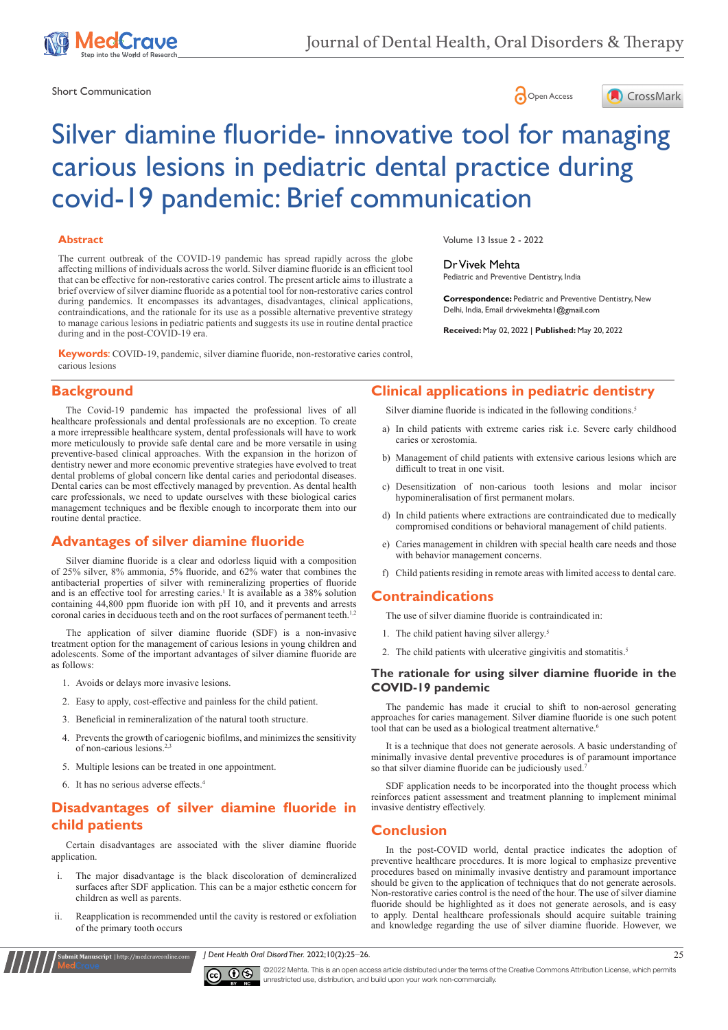

Short Communication  $\bigcap_{\Omega}$  Open Access





# Silver diamine fluoride- innovative tool for managing carious lesions in pediatric dental practice during covid-19 pandemic: Brief communication

#### **Abstract**

The current outbreak of the COVID-19 pandemic has spread rapidly across the globe affecting millions of individuals across the world. Silver diamine fluoride is an efficient tool that can be effective for non-restorative caries control. The present article aims to illustrate a brief overview of silver diamine fluoride as a potential tool for non-restorative caries control during pandemics. It encompasses its advantages, disadvantages, clinical applications, contraindications, and the rationale for its use as a possible alternative preventive strategy to manage carious lesions in pediatric patients and suggests its use in routine dental practice during and in the post-COVID-19 era.

**Keywords**: COVID-19, pandemic, silver diamine fluoride, non-restorative caries control, carious lesions

## **Background**

The Covid-19 pandemic has impacted the professional lives of all healthcare professionals and dental professionals are no exception. To create a more irrepressible healthcare system, dental professionals will have to work more meticulously to provide safe dental care and be more versatile in using preventive-based clinical approaches. With the expansion in the horizon of dentistry newer and more economic preventive strategies have evolved to treat dental problems of global concern like dental caries and periodontal diseases. Dental caries can be most effectively managed by prevention. As dental health care professionals, we need to update ourselves with these biological caries management techniques and be flexible enough to incorporate them into our routine dental practice.

# **Advantages of silver diamine fluoride**

Silver diamine fluoride is a clear and odorless liquid with a composition of 25% silver, 8% ammonia, 5% fluoride, and 62% water that combines the antibacterial properties of silver with remineralizing properties of fluoride and is an effective tool for arresting caries.<sup>1</sup> It is available as a  $38\%$  solution containing 44,800 ppm fluoride ion with pH 10, and it prevents and arrests coronal caries in deciduous teeth and on the root surfaces of permanent teeth.<sup>1,2</sup>

The application of silver diamine fluoride (SDF) is a non-invasive treatment option for the management of carious lesions in young children and adolescents. Some of the important advantages of silver diamine fluoride are as follows:

- 1. Avoids or delays more invasive lesions.
- 2. Easy to apply, cost-effective and painless for the child patient.
- 3. Beneficial in remineralization of the natural tooth structure.
- 4. Prevents the growth of cariogenic biofilms, and minimizes the sensitivity of non-carious lesions.<sup>2,3</sup>
- 5. Multiple lesions can be treated in one appointment.
- 6. It has no serious adverse effects.<sup>4</sup>

**It Manuscript** | http://medcraveonline.c

# **Disadvantages of silver diamine fluoride in child patients**

Certain disadvantages are associated with the sliver diamine fluoride application.

- i. The major disadvantage is the black discoloration of demineralized surfaces after SDF application. This can be a major esthetic concern for children as well as parents.
- ii. Reapplication is recommended until the cavity is restored or exfoliation of the primary tooth occurs

Volume 13 Issue 2 - 2022

#### Dr Vivek Mehta

Pediatric and Preventive Dentistry, India

**Correspondence:** Pediatric and Preventive Dentistry, New Delhi, India, Email drvivekmehta I @gmail.com

**Received:** May 02, 2022 | **Published:** May 20, 2022

## **Clinical applications in pediatric dentistry**

Silver diamine fluoride is indicated in the following conditions.<sup>5</sup>

- a) In child patients with extreme caries risk i.e. Severe early childhood caries or xerostomia.
- b) Management of child patients with extensive carious lesions which are difficult to treat in one visit.
- c) Desensitization of non-carious tooth lesions and molar incisor hypomineralisation of first permanent molars.
- d) In child patients where extractions are contraindicated due to medically compromised conditions or behavioral management of child patients.
- e) Caries management in children with special health care needs and those with behavior management concerns.
- f) Child patients residing in remote areas with limited access to dental care.

### **Contraindications**

The use of silver diamine fluoride is contraindicated in:

- 1. The child patient having silver allergy.<sup>5</sup>
- 2. The child patients with ulcerative gingivitis and stomatitis.<sup>5</sup>

#### **The rationale for using silver diamine fluoride in the COVID-19 pandemic**

The pandemic has made it crucial to shift to non-aerosol generating approaches for caries management. Silver diamine fluoride is one such potent tool that can be used as a biological treatment alternative.<sup>6</sup>

It is a technique that does not generate aerosols. A basic understanding of minimally invasive dental preventive procedures is of paramount importance so that silver diamine fluoride can be judiciously used.<sup>7</sup>

SDF application needs to be incorporated into the thought process which reinforces patient assessment and treatment planning to implement minimal invasive dentistry effectively.

### **Conclusion**

In the post-COVID world, dental practice indicates the adoption of preventive healthcare procedures. It is more logical to emphasize preventive procedures based on minimally invasive dentistry and paramount importance should be given to the application of techniques that do not generate aerosols. Non-restorative caries control is the need of the hour. The use of silver diamine fluoride should be highlighted as it does not generate aerosols, and is easy to apply. Dental healthcare professionals should acquire suitable training and knowledge regarding the use of silver diamine fluoride. However, we

*J Dent Health Oral Disord Ther.* 2022;10(2):25‒26. 25



©2022 Mehta. This is an open access article distributed under the terms of the Creative Commons Attribution License, which permits unrestricted use, distribution, and build upon your work non-commercially.